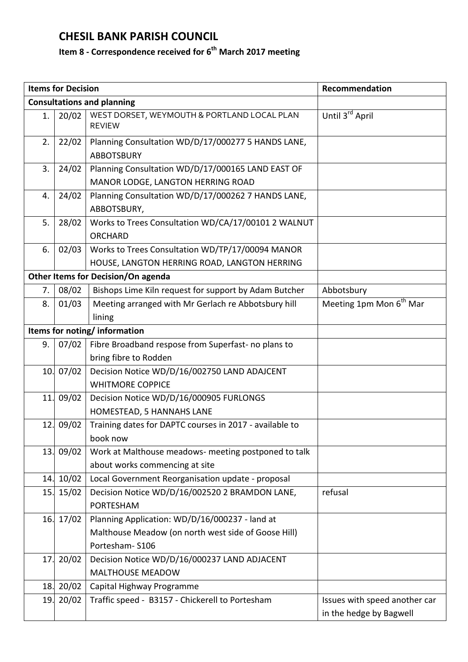## **CHESIL BANK PARISH COUNCIL**

## **Item 8 - Correspondence received for 6 th March 2017 meeting**

|                                    | <b>Items for Decision</b> |                                                                                                  | Recommendation                                           |  |  |
|------------------------------------|---------------------------|--------------------------------------------------------------------------------------------------|----------------------------------------------------------|--|--|
| <b>Consultations and planning</b>  |                           |                                                                                                  |                                                          |  |  |
| 1.                                 | 20/02                     | WEST DORSET, WEYMOUTH & PORTLAND LOCAL PLAN<br><b>REVIEW</b>                                     | Until 3 <sup>rd</sup> April                              |  |  |
| 2.                                 | 22/02                     | Planning Consultation WD/D/17/000277 5 HANDS LANE,<br><b>ABBOTSBURY</b>                          |                                                          |  |  |
| 3.                                 | 24/02                     | Planning Consultation WD/D/17/000165 LAND EAST OF<br>MANOR LODGE, LANGTON HERRING ROAD           |                                                          |  |  |
| 4.                                 | 24/02                     | Planning Consultation WD/D/17/000262 7 HANDS LANE,<br>ABBOTSBURY,                                |                                                          |  |  |
| 5.                                 | 28/02                     | Works to Trees Consultation WD/CA/17/00101 2 WALNUT<br><b>ORCHARD</b>                            |                                                          |  |  |
| 6.                                 | 02/03                     | Works to Trees Consultation WD/TP/17/00094 MANOR<br>HOUSE, LANGTON HERRING ROAD, LANGTON HERRING |                                                          |  |  |
| Other Items for Decision/On agenda |                           |                                                                                                  |                                                          |  |  |
| 7.                                 | 08/02                     | Bishops Lime Kiln request for support by Adam Butcher                                            | Abbotsbury                                               |  |  |
| 8.                                 | 01/03                     | Meeting arranged with Mr Gerlach re Abbotsbury hill<br>lining                                    | Meeting 1pm Mon 6 <sup>th</sup> Mar                      |  |  |
| Items for noting/information       |                           |                                                                                                  |                                                          |  |  |
| 9.                                 | 07/02                     | Fibre Broadband respose from Superfast- no plans to                                              |                                                          |  |  |
|                                    |                           | bring fibre to Rodden                                                                            |                                                          |  |  |
|                                    | 10.07/02                  | Decision Notice WD/D/16/002750 LAND ADAJCENT                                                     |                                                          |  |  |
|                                    |                           | <b>WHITMORE COPPICE</b>                                                                          |                                                          |  |  |
|                                    | 11.09/02                  | Decision Notice WD/D/16/000905 FURLONGS                                                          |                                                          |  |  |
|                                    |                           | HOMESTEAD, 5 HANNAHS LANE                                                                        |                                                          |  |  |
|                                    | 12. 09/02                 | Training dates for DAPTC courses in 2017 - available to<br>book now                              |                                                          |  |  |
|                                    | 13. 09/02                 | Work at Malthouse meadows- meeting postponed to talk<br>about works commencing at site           |                                                          |  |  |
| 14.                                | 10/02                     | Local Government Reorganisation update - proposal                                                |                                                          |  |  |
| 15.                                | 15/02                     | Decision Notice WD/D/16/002520 2 BRAMDON LANE,<br>PORTESHAM                                      | refusal                                                  |  |  |
|                                    | 16.17/02                  | Planning Application: WD/D/16/000237 - land at                                                   |                                                          |  |  |
|                                    |                           | Malthouse Meadow (on north west side of Goose Hill)                                              |                                                          |  |  |
|                                    |                           | Portesham-S106                                                                                   |                                                          |  |  |
| 17.                                | 20/02                     | Decision Notice WD/D/16/000237 LAND ADJACENT<br><b>MALTHOUSE MEADOW</b>                          |                                                          |  |  |
| 18.                                | 20/02                     | Capital Highway Programme                                                                        |                                                          |  |  |
| 19.                                | 20/02                     | Traffic speed - B3157 - Chickerell to Portesham                                                  | Issues with speed another car<br>in the hedge by Bagwell |  |  |